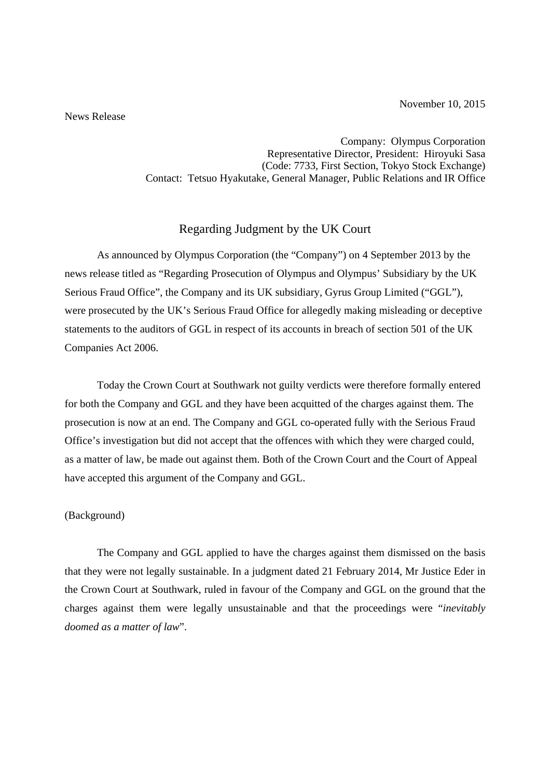November 10, 2015

## News Release

Company: Olympus Corporation Representative Director, President: Hiroyuki Sasa (Code: 7733, First Section, Tokyo Stock Exchange) Contact: Tetsuo Hyakutake, General Manager, Public Relations and IR Office

## Regarding Judgment by the UK Court

 As announced by Olympus Corporation (the "Company") on 4 September 2013 by the news release titled as "Regarding Prosecution of Olympus and Olympus' Subsidiary by the UK Serious Fraud Office", the Company and its UK subsidiary, Gyrus Group Limited ("GGL"), were prosecuted by the UK's Serious Fraud Office for allegedly making misleading or deceptive statements to the auditors of GGL in respect of its accounts in breach of section 501 of the UK Companies Act 2006.

Today the Crown Court at Southwark not guilty verdicts were therefore formally entered for both the Company and GGL and they have been acquitted of the charges against them. The prosecution is now at an end. The Company and GGL co-operated fully with the Serious Fraud Office's investigation but did not accept that the offences with which they were charged could, as a matter of law, be made out against them. Both of the Crown Court and the Court of Appeal have accepted this argument of the Company and GGL.

## (Background)

 The Company and GGL applied to have the charges against them dismissed on the basis that they were not legally sustainable. In a judgment dated 21 February 2014, Mr Justice Eder in the Crown Court at Southwark, ruled in favour of the Company and GGL on the ground that the charges against them were legally unsustainable and that the proceedings were "*inevitably doomed as a matter of law*".